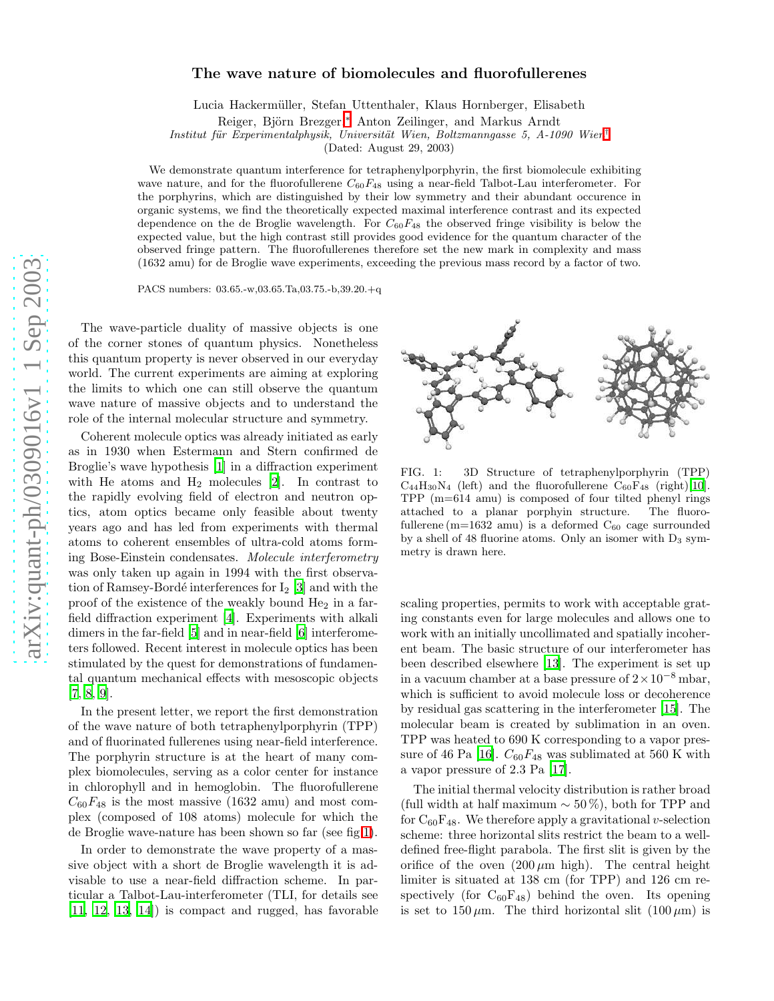## The wave nature of biomolecules and fluorofullerenes

Lucia Hackermüller, Stefan Uttenthaler, Klaus Hornberger, Elisabeth

Reiger, Björn Brezger,<sup>\*</sup> Anton Zeilinger, and Markus Arndt

Institut für Experimentalphysik, Universität Wien, Boltzmanngasse 5, A-1090 Wien<sup>[†](#page-3-1)</sup>

(Dated: August 29, 2003)

We demonstrate quantum interference for tetraphenylporphyrin, the first biomolecule exhibiting wave nature, and for the fluorofullerene  $C_{60}F_{48}$  using a near-field Talbot-Lau interferometer. For the porphyrins, which are distinguished by their low symmetry and their abundant occurence in organic systems, we find the theoretically expected maximal interference contrast and its expected dependence on the de Broglie wavelength. For  $C_{60}F_{48}$  the observed fringe visibility is below the expected value, but the high contrast still provides good evidence for the quantum character of the observed fringe pattern. The fluorofullerenes therefore set the new mark in complexity and mass (1632 amu) for de Broglie wave experiments, exceeding the previous mass record by a factor of two.

PACS numbers: 03.65.-w,03.65.Ta,03.75.-b,39.20.+q

The wave-particle duality of massive objects is one of the corner stones of quantum physics. Nonetheless this quantum property is never observed in our everyday world. The current experiments are aiming at exploring the limits to which one can still observe the quantum wave nature of massive objects and to understand the role of the internal molecular structure and symmetry.

Coherent molecule optics was already initiated as early as in 1930 when Estermann and Stern confirmed de Broglie's wave hypothesis [\[1](#page-3-2)] in a diffraction experiment with He atoms and  $H_2$  molecules [\[2\]](#page-3-3). In contrast to the rapidly evolving field of electron and neutron optics, atom optics became only feasible about twenty years ago and has led from experiments with thermal atoms to coherent ensembles of ultra-cold atoms forming Bose-Einstein condensates. Molecule interferometry was only taken up again in 1994 with the first observation of Ramsey-Bordé interferences for  $I_2$  [\[3\]](#page-3-4) and with the proof of the existence of the weakly bound He <sup>2</sup> in a farfield diffraction experiment [\[4\]](#page-3-5). Experiments with alkali dimers in the far-field [\[5](#page-3-6)] and in near-field [\[6](#page-3-7)] interferometers followed. Recent interest in molecule optics has been stimulated by the quest for demonstrations of fundamental quantum mechanical effects with mesoscopic objects [\[7,](#page-3-8) [8,](#page-3-9) [9\]](#page-3-10).

In the present letter, we report the first demonstration of the wave nature of both tetraphenylporphyrin (TPP) and of fluorinated fullerenes using near-field interference. The porphyrin structure is at the heart of many complex biomolecules, serving as a color center for instance in chlorophyll and in hemoglobin. The fluorofullerene  $C_{60}F_{48}$  is the most massive (1632 amu) and most complex (composed of 108 atoms) molecule for which the de Broglie wave-nature has been shown so far (see fig[.1\)](#page-0-0).

In order to demonstrate the wave property of a massive object with a short de Broglie wavelength it is advisable to use a near-field diffraction scheme. In particular a Talbot-Lau-interferometer (TLI, for details see [\[11,](#page-4-0) [12](#page-4-1), [13,](#page-4-2) [14\]](#page-4-3)) is compact and rugged, has favorable



<span id="page-0-0"></span>FIG. 1: 3D Structure of tetraphenylporphyrin (TPP)  $C_{44}H_{30}N_4$  (left) and the fluorofullerene  $C_{60}F_{48}$  (right)[\[10\]](#page-3-11). TPP (m=614 amu) is composed of four tilted phenyl rings attached to a planar porphyin structure. The fluorofullerene (m=1632 amu) is a deformed  $C_{60}$  cage surrounded by a shell of 48 fluorine atoms. Only an isomer with D <sup>3</sup> symmetry is drawn here.

scaling properties, permits to work with acceptable grating constants even for large molecules and allows one to work with an initially uncollimated and spatially incoherent beam. The basic structure of our interferometer has been described elsewhere [\[13](#page-4-2)]. The experiment is set up in a vacuum chamber at a base pressure of  $2 \times 10^{-8}$  mbar, which is sufficient to avoid molecule loss or decoherence by residual gas scattering in the interferometer [\[15](#page-4-4)]. The molecular beam is created by sublimation in an oven. TPP was heated to 690 K corresponding to a vapor pres-sure of 46 Pa [\[16](#page-4-5)].  $C_{60}F_{48}$  was sublimated at 560 K with a vapor pressure of 2.3 Pa [\[17\]](#page-4-6).

The initial thermal velocity distribution is rather broad (full width at half maximum  $\sim$  50%), both for TPP and for  $C_{60}F_{48}$ . We therefore apply a gravitational v-selection scheme: three horizontal slits restrict the beam to a welldefined free-flight parabola. The first slit is given by the orifice of the oven  $(200 \,\mu m)$  high). The central height limiter is situated at 138 cm (for TPP) and 126 cm respectively (for  $C_{60}F_{48}$ ) behind the oven. Its opening is set to  $150 \,\mu$ m. The third horizontal slit  $(100 \,\mu m)$  is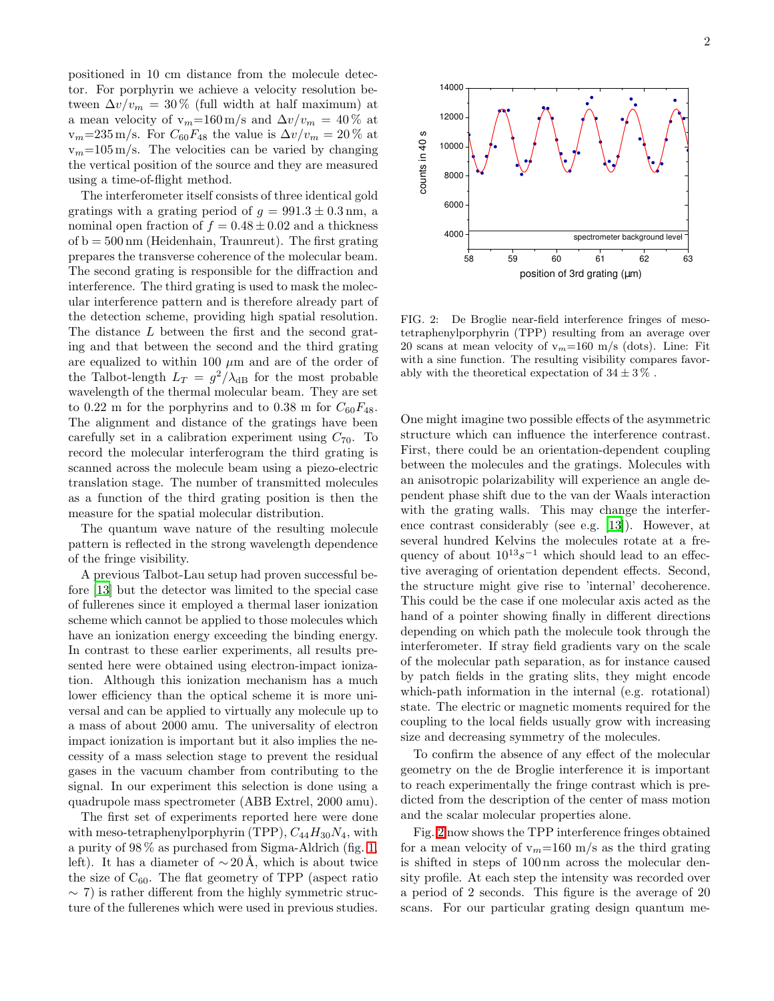positioned in 10 cm distance from the molecule detector. For porphyrin we achieve a velocity resolution between  $\Delta v/v_m = 30\%$  (full width at half maximum) at a mean velocity of v<sub>m</sub>=160 m/s and  $\Delta v/v_m = 40\%$  at  $v_m=235 \text{ m/s}$ . For  $C_{60}F_{48}$  the value is  $\Delta v/v_m=20\%$  at  $v_m=105 \,\mathrm{m/s}$ . The velocities can be varied by changing the vertical position of the source and they are measured using a time-of-flight method.

The interferometer itself consists of three identical gold gratings with a grating period of  $g = 991.3 \pm 0.3$  nm, a nominal open fraction of  $f = 0.48 \pm 0.02$  and a thickness of  $b = 500 \,\mathrm{nm}$  (Heidenhain, Traunreut). The first grating prepares the transverse coherence of the molecular beam. The second grating is responsible for the diffraction and interference. The third grating is used to mask the molecular interference pattern and is therefore already part of the detection scheme, providing high spatial resolution. The distance L between the first and the second grating and that between the second and the third grating are equalized to within 100  $\mu$ m and are of the order of the Talbot-length  $L_T = g^2/\lambda_{\text{dB}}$  for the most probable wavelength of the thermal molecular beam. They are set to 0.22 m for the porphyrins and to 0.38 m for  $C_{60}F_{48}$ . The alignment and distance of the gratings have been carefully set in a calibration experiment using  $C_{70}$ . To record the molecular interferogram the third grating is scanned across the molecule beam using a piezo-electric translation stage. The number of transmitted molecules as a function of the third grating position is then the measure for the spatial molecular distribution.

The quantum wave nature of the resulting molecule pattern is reflected in the strong wavelength dependence of the fringe visibility.

A previous Talbot-Lau setup had proven successful before [\[13\]](#page-4-2) but the detector was limited to the special case of fullerenes since it employed a thermal laser ionization scheme which cannot be applied to those molecules which have an ionization energy exceeding the binding energy. In contrast to these earlier experiments, all results presented here were obtained using electron-impact ionization. Although this ionization mechanism has a much lower efficiency than the optical scheme it is more universal and can be applied to virtually any molecule up to a mass of about 2000 amu. The universality of electron impact ionization is important but it also implies the necessity of a mass selection stage to prevent the residual gases in the vacuum chamber from contributing to the signal. In our experiment this selection is done using a quadrupole mass spectrometer (ABB Extrel, 2000 amu).

The first set of experiments reported here were done with meso-tetraphenylporphyrin (TPP),  $C_{44}H_{30}N_4$ , with a purity of 98 % as purchased from Sigma-Aldrich (fig. [1,](#page-0-0) left). It has a diameter of  $\sim 20 \text{ Å}$ , which is about twice the size of  $C_{60}$ . The flat geometry of TPP (aspect ratio  $\sim$  7) is rather different from the highly symmetric structure of the fullerenes which were used in previous studies.



<span id="page-1-0"></span>FIG. 2: De Broglie near-field interference fringes of mesotetraphenylporphyrin (TPP) resulting from an average over 20 scans at mean velocity of  $v_m=160$  m/s (dots). Line: Fit with a sine function. The resulting visibility compares favorably with the theoretical expectation of  $34 \pm 3\%$ .

One might imagine two possible effects of the asymmetric structure which can influence the interference contrast. First, there could be an orientation-dependent coupling between the molecules and the gratings. Molecules with an anisotropic polarizability will experience an angle dependent phase shift due to the van der Waals interaction with the grating walls. This may change the interference contrast considerably (see e.g. [\[13\]](#page-4-2)). However, at several hundred Kelvins the molecules rotate at a frequency of about  $10^{13}s^{-1}$  which should lead to an effective averaging of orientation dependent effects. Second, the structure might give rise to 'internal' decoherence. This could be the case if one molecular axis acted as the hand of a pointer showing finally in different directions depending on which path the molecule took through the interferometer. If stray field gradients vary on the scale of the molecular path separation, as for instance caused by patch fields in the grating slits, they might encode which-path information in the internal (e.g. rotational) state. The electric or magnetic moments required for the coupling to the local fields usually grow with increasing size and decreasing symmetry of the molecules.

To confirm the absence of any effect of the molecular geometry on the de Broglie interference it is important to reach experimentally the fringe contrast which is predicted from the description of the center of mass motion and the scalar molecular properties alone.

Fig. [2](#page-1-0) now shows the TPP interference fringes obtained for a mean velocity of  $v_m=160$  m/s as the third grating is shifted in steps of 100 nm across the molecular density profile. At each step the intensity was recorded over a period of 2 seconds. This figure is the average of 20 scans. For our particular grating design quantum me-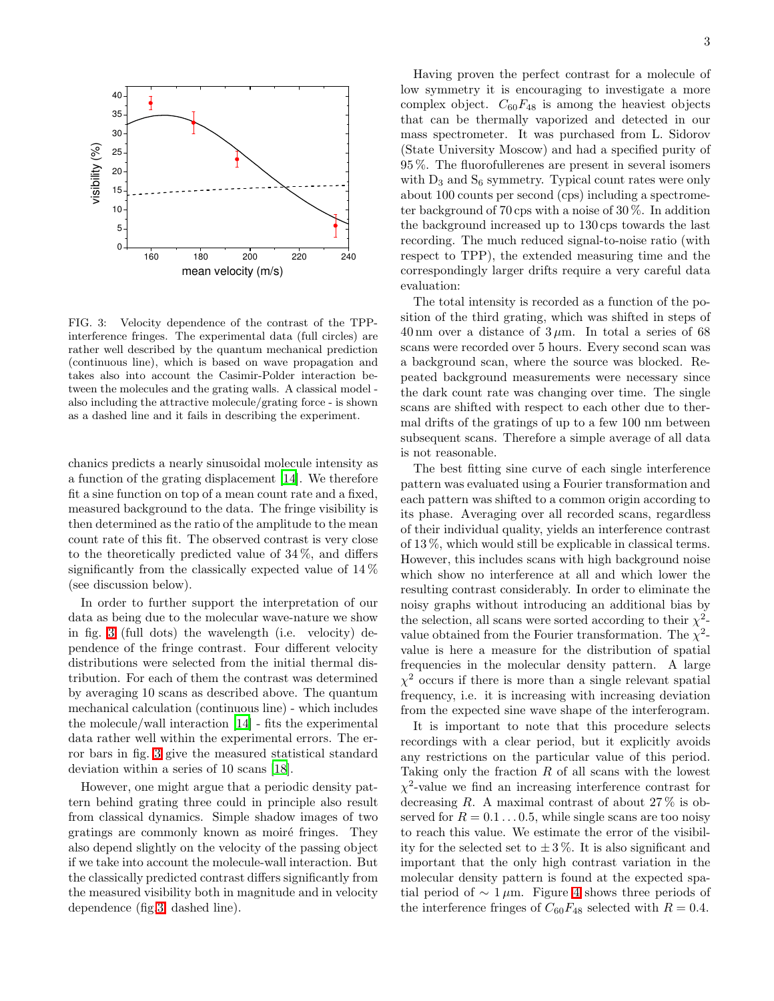

<span id="page-2-0"></span>FIG. 3: Velocity dependence of the contrast of the TPPinterference fringes. The experimental data (full circles) are rather well described by the quantum mechanical prediction (continuous line), which is based on wave propagation and takes also into account the Casimir-Polder interaction between the molecules and the grating walls. A classical model also including the attractive molecule/grating force - is shown as a dashed line and it fails in describing the experiment.

chanics predicts a nearly sinusoidal molecule intensity as a function of the grating displacement [\[14\]](#page-4-3). We therefore fit a sine function on top of a mean count rate and a fixed, measured background to the data. The fringe visibility is then determined as the ratio of the amplitude to the mean count rate of this fit. The observed contrast is very close to the theoretically predicted value of  $34\%$ , and differs significantly from the classically expected value of 14 % (see discussion below).

In order to further support the interpretation of our data as being due to the molecular wave-nature we show in fig. [3](#page-2-0) (full dots) the wavelength (i.e. velocity) dependence of the fringe contrast. Four different velocity distributions were selected from the initial thermal distribution. For each of them the contrast was determined by averaging 10 scans as described above. The quantum mechanical calculation (continuous line) - which includes the molecule/wall interaction [\[14\]](#page-4-3) - fits the experimental data rather well within the experimental errors. The error bars in fig. [3](#page-2-0) give the measured statistical standard deviation within a series of 10 scans [\[18\]](#page-4-7).

However, one might argue that a periodic density pattern behind grating three could in principle also result from classical dynamics. Simple shadow images of two gratings are commonly known as moiré fringes. They also depend slightly on the velocity of the passing object if we take into account the molecule-wall interaction. But the classically predicted contrast differs significantly from the measured visibility both in magnitude and in velocity dependence (fig[.3,](#page-2-0) dashed line).

Having proven the perfect contrast for a molecule of low symmetry it is encouraging to investigate a more complex object.  $C_{60}F_{48}$  is among the heaviest objects that can be thermally vaporized and detected in our mass spectrometer. It was purchased from L. Sidorov (State University Moscow) and had a specified purity of 95 %. The fluorofullerenes are present in several isomers with  $D_3$  and  $S_6$  symmetry. Typical count rates were only about 100 counts per second (cps) including a spectrometer background of 70 cps with a noise of 30 %. In addition the background increased up to 130 cps towards the last recording. The much reduced signal-to-noise ratio (with respect to TPP), the extended measuring time and the correspondingly larger drifts require a very careful data evaluation:

The total intensity is recorded as a function of the position of the third grating, which was shifted in steps of 40 nm over a distance of  $3 \mu$ m. In total a series of 68 scans were recorded over 5 hours. Every second scan was a background scan, where the source was blocked. Repeated background measurements were necessary since the dark count rate was changing over time. The single scans are shifted with respect to each other due to thermal drifts of the gratings of up to a few 100 nm between subsequent scans. Therefore a simple average of all data is not reasonable.

The best fitting sine curve of each single interference pattern was evaluated using a Fourier transformation and each pattern was shifted to a common origin according to its phase. Averaging over all recorded scans, regardless of their individual quality, yields an interference contrast of 13 %, which would still be explicable in classical terms. However, this includes scans with high background noise which show no interference at all and which lower the resulting contrast considerably. In order to eliminate the noisy graphs without introducing an additional bias by the selection, all scans were sorted according to their  $\chi^2$ value obtained from the Fourier transformation. The  $\chi^2$ value is here a measure for the distribution of spatial frequencies in the molecular density pattern. A large  $\chi^2$  occurs if there is more than a single relevant spatial frequency, i.e. it is increasing with increasing deviation from the expected sine wave shape of the interferogram.

It is important to note that this procedure selects recordings with a clear period, but it explicitly avoids any restrictions on the particular value of this period. Taking only the fraction  $R$  of all scans with the lowest  $\chi^2$ -value we find an increasing interference contrast for decreasing R. A maximal contrast of about  $27\%$  is observed for  $R = 0.1 \dots 0.5$ , while single scans are too noisy to reach this value. We estimate the error of the visibility for the selected set to  $\pm 3\%$ . It is also significant and important that the only high contrast variation in the molecular density pattern is found at the expected spatial period of  $\sim 1 \mu$ m. Figure [4](#page-3-12) shows three periods of the interference fringes of  $C_{60}F_{48}$  selected with  $R = 0.4$ .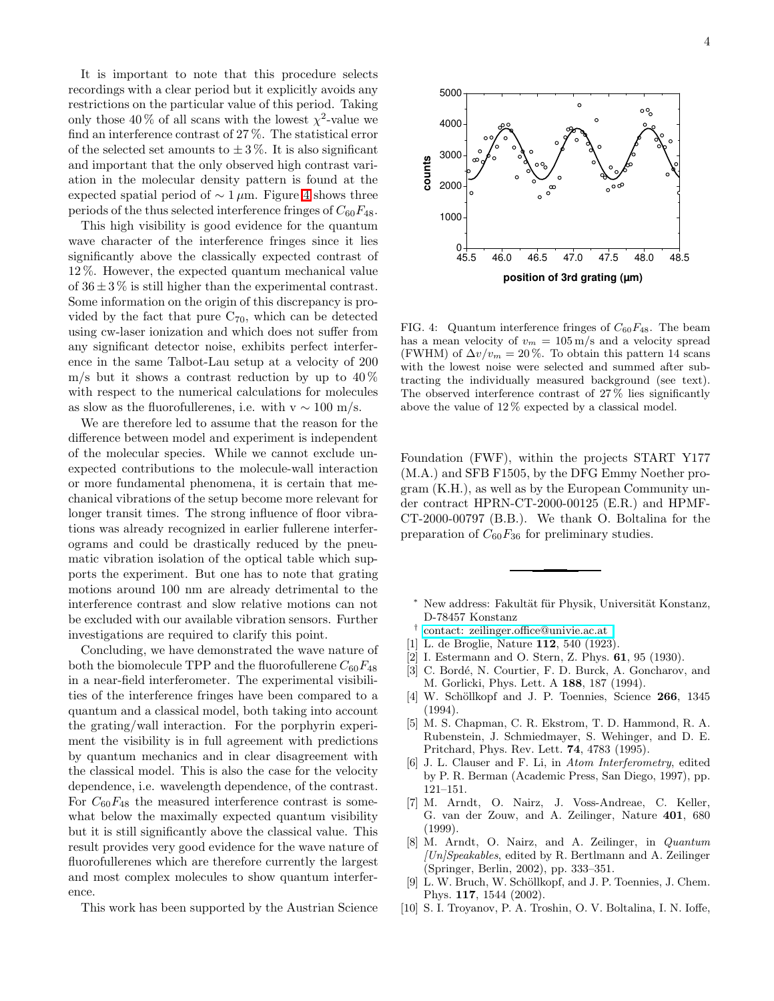It is important to note that this procedure selects recordings with a clear period but it explicitly avoids any restrictions on the particular value of this period. Taking only those 40% of all scans with the lowest  $\chi^2$ -value we find an interference contrast of 27 %. The statistical error of the selected set amounts to  $\pm 3\%$ . It is also significant and important that the only observed high contrast variation in the molecular density pattern is found at the expected spatial period of  $\sim 1 \mu m$ . Figure [4](#page-3-12) shows three periods of the thus selected interference fringes of  $C_{60}F_{48}$ .

This high visibility is good evidence for the quantum wave character of the interference fringes since it lies significantly above the classically expected contrast of 12 %. However, the expected quantum mechanical value of  $36 \pm 3\%$  is still higher than the experimental contrast. Some information on the origin of this discrepancy is provided by the fact that pure  $C_{70}$ , which can be detected using cw-laser ionization and which does not suffer from any significant detector noise, exhibits perfect interference in the same Talbot-Lau setup at a velocity of 200 m/s but it shows a contrast reduction by up to  $40\%$ with respect to the numerical calculations for molecules as slow as the fluorofullerenes, i.e. with  $v \sim 100$  m/s.

We are therefore led to assume that the reason for the difference between model and experiment is independent of the molecular species. While we cannot exclude unexpected contributions to the molecule-wall interaction or more fundamental phenomena, it is certain that mechanical vibrations of the setup become more relevant for longer transit times. The strong influence of floor vibrations was already recognized in earlier fullerene interferograms and could be drastically reduced by the pneumatic vibration isolation of the optical table which supports the experiment. But one has to note that grating motions around 100 nm are already detrimental to the interference contrast and slow relative motions can not be excluded with our available vibration sensors. Further investigations are required to clarify this point.

Concluding, we have demonstrated the wave nature of both the biomolecule TPP and the fluorofullerene  $C_{60}F_{48}$ in a near-field interferometer. The experimental visibilities of the interference fringes have been compared to a quantum and a classical model, both taking into account the grating/wall interaction. For the porphyrin experiment the visibility is in full agreement with predictions by quantum mechanics and in clear disagreement with the classical model. This is also the case for the velocity dependence, i.e. wavelength dependence, of the contrast. For  $C_{60}F_{48}$  the measured interference contrast is somewhat below the maximally expected quantum visibility but it is still significantly above the classical value. This result provides very good evidence for the wave nature of fluorofullerenes which are therefore currently the largest and most complex molecules to show quantum interference.

This work has been supported by the Austrian Science



<span id="page-3-12"></span>FIG. 4: Quantum interference fringes of  $C_{60}F_{48}$ . The beam has a mean velocity of  $v_m = 105 \,\mathrm{m/s}$  and a velocity spread (FWHM) of  $\Delta v/v_m = 20\%$ . To obtain this pattern 14 scans with the lowest noise were selected and summed after subtracting the individually measured background (see text). The observed interference contrast of 27 % lies significantly above the value of 12 % expected by a classical model.

Foundation (FWF), within the projects START Y177 (M.A.) and SFB F1505, by the DFG Emmy Noether program (K.H.), as well as by the European Community under contract HPRN-CT-2000-00125 (E.R.) and HPMF-CT-2000-00797 (B.B.). We thank O. Boltalina for the preparation of  $C_{60}F_{36}$  for preliminary studies.

- New address: Fakultät für Physik, Universität Konstanz, D-78457 Konstanz
- <span id="page-3-0"></span>† [contact: zeilinger.office@univie.ac.at](mailto:contact: zeilinger.office@univie.ac.at )
- <span id="page-3-2"></span><span id="page-3-1"></span>[1] L. de Broglie, Nature 112, 540 (1923).
- <span id="page-3-3"></span>[2] I. Estermann and O. Stern, Z. Phys. 61, 95 (1930).
- <span id="page-3-4"></span>[3] C. Bordé, N. Courtier, F. D. Burck, A. Goncharov, and M. Gorlicki, Phys. Lett. A 188, 187 (1994).
- <span id="page-3-5"></span>[4] W. Schöllkopf and J. P. Toennies, Science 266, 1345 (1994).
- <span id="page-3-6"></span>[5] M. S. Chapman, C. R. Ekstrom, T. D. Hammond, R. A. Rubenstein, J. Schmiedmayer, S. Wehinger, and D. E. Pritchard, Phys. Rev. Lett. 74, 4783 (1995).
- <span id="page-3-7"></span>[6] J. L. Clauser and F. Li, in Atom Interferometry, edited by P. R. Berman (Academic Press, San Diego, 1997), pp. 121–151.
- <span id="page-3-8"></span>[7] M. Arndt, O. Nairz, J. Voss-Andreae, C. Keller, G. van der Zouw, and A. Zeilinger, Nature 401, 680 (1999).
- <span id="page-3-9"></span>[8] M. Arndt, O. Nairz, and A. Zeilinger, in Quantum  $[Un] Speakables$ , edited by R. Bertlmann and A. Zeilinger (Springer, Berlin, 2002), pp. 333–351.
- [9] L. W. Bruch, W. Schöllkopf, and J. P. Toennies, J. Chem. Phys. 117, 1544 (2002).
- <span id="page-3-11"></span><span id="page-3-10"></span>[10] S. I. Troyanov, P. A. Troshin, O. V. Boltalina, I. N. Ioffe,